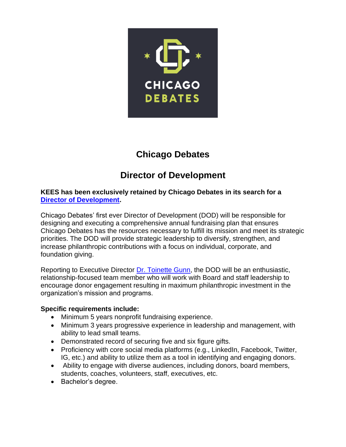

## **Chicago Debates**

# **Director of Development**

#### **KEES has been exclusively retained by Chicago Debates in its search for a [Director of Development.](https://www.kees2success.com/wp-content/uploads/2021/01/Opportunity-Guide_2021_Chicago-Debates_DoD.pdf)**

Chicago Debates' first ever Director of Development (DOD) will be responsible for designing and executing a comprehensive annual fundraising plan that ensures Chicago Debates has the resources necessary to fulfill its mission and meet its strategic priorities. The DOD will provide strategic leadership to diversify, strengthen, and increase philanthropic contributions with a focus on individual, corporate, and foundation giving.

Reporting to Executive Director [Dr. Toinette Gunn,](https://www.chicagodebates.org/who-we-are/our-team/dr-toinette-gunn/) the DOD will be an enthusiastic, relationship-focused team member who will work with Board and staff leadership to encourage donor engagement resulting in maximum philanthropic investment in the organization's mission and programs.

## **Specific requirements include:**

- Minimum 5 years nonprofit fundraising experience.
- Minimum 3 years progressive experience in leadership and management, with ability to lead small teams.
- Demonstrated record of securing five and six figure gifts.
- Proficiency with core social media platforms (e.g., LinkedIn, Facebook, Twitter, IG, etc.) and ability to utilize them as a tool in identifying and engaging donors.
- Ability to engage with diverse audiences, including donors, board members, students, coaches, volunteers, staff, executives, etc.
- Bachelor's degree.